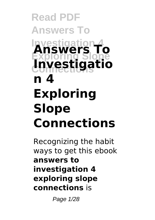### **Read PDF Answers To Investigation 4 Exploring Slope Connections Investigatio Answers To n 4 Exploring Slope Connections**

Recognizing the habit ways to get this ebook **answers to investigation 4 exploring slope connections** is

Page 1/28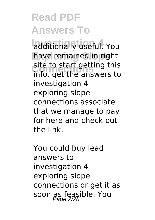**Investigation 4** additionally useful. You have remained in right **Connections** info. get the answers to site to start getting this investigation 4 exploring slope connections associate that we manage to pay for here and check out the link.

You could buy lead answers to investigation 4 exploring slope connections or get it as soon as feasible. You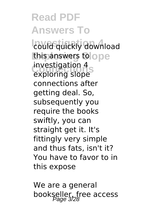**Read PDF Answers To** *<u>Could quickly</u>* download **this answers to ope** mvestigation 4<br>exploring slope investigation 4 connections after getting deal. So, subsequently you require the books swiftly, you can straight get it. It's fittingly very simple and thus fats, isn't it? You have to favor to in this expose

We are a general bookseller, free access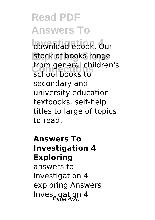**Read PDF Answers To** download ebook. Our stock of books range **Connections** school books to from general children's secondary and university education textbooks, self-help titles to large of topics to read.

#### **Answers To Investigation 4 Exploring** answers to investigation 4 exploring Answers | Investigation 4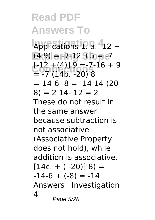**Read PDF Answers To Applications 1. a. -12 + Exploring Slope** (4 9) = -7-12 +5 = -7  $C = -7$  (14b. -20) 8  $[-12 + (4)]$   $\overline{9} = -7 - 16 + 9$  $= -14-6-8 = -1414-20$  $8) = 214 - 12 = 2$ These do not result in the same answer because subtraction is not associative (Associative Property does not hold), while addition is associative.  $[14c. + ( -20)18] =$  $-14-6 + (-8) = -14$ Answers | Investigation  $\Delta$ Page 5/28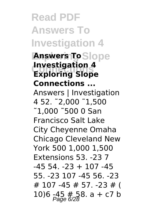**Read PDF Answers To Investigation 4 Answers To**Slope **Connections Exploring Slope Investigation 4 Connections ...** Answers | Investigation 4 52. ˜2,000 ˜1,500 ˜1,000 ˜500 0 San Francisco Salt Lake City Cheyenne Omaha Chicago Cleveland New York 500 1,000 1,500 Extensions 53. -23 7  $-45$  54  $-23 + 107$   $-45$ 55. -23 107 -45 56. -23 # 107 -45 # 57. -23 # ( 10)6  $-45$  # 58. a + c7 b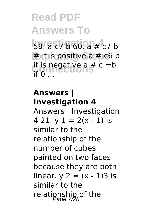**Read PDF Answers To Investigation 4** 59. a-c7 b 60. a # c7 b **Exploring Slope** # if is positive a # c6 b if is negative a  $# c = b$ if 0 ...

#### **Answers | Investigation 4**

Answers | Investigation 4 21.  $y$  1 = 2(x - 1) is similar to the relationship of the number of cubes painted on two faces because they are both linear.  $y = (x - 1)3$  is similar to the relationship of the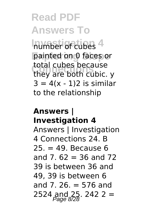**Inumber of cubes 4** painted on 0 faces or **Connections** they are both cubic. y total cubes because  $3 = 4(x - 1)2$  is similar to the relationship

#### **Answers | Investigation 4**

Answers | Investigation 4 Connections 24. B  $25 = 49$ . Because 6 and 7. $62 = 36$  and 72 39 is between 36 and 49, 39 is between 6 and 7. 26. = 576 and 2524 and 25. 242 2 =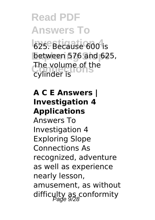**Read PDF Answers To 625. Because 600 is** between 576 and 625, The volume of the<br>Cylinder is cylinder is

#### **A C E Answers | Investigation 4 Applications**

Answers To Investigation 4 Exploring Slope Connections As recognized, adventure as well as experience nearly lesson, amusement, as without difficulty as conformity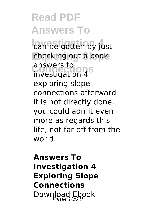**Read PDF Answers To Investigation 4** can be gotten by just checking out a book answers to<br>investigation 4<sup>S</sup> answers to exploring slope connections afterward it is not directly done, you could admit even more as regards this life, not far off from the world.

#### **Answers To Investigation 4 Exploring Slope Connections** Download Ebook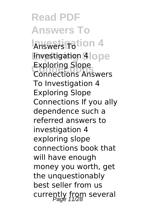**Read PDF Answers To Answers Totion 4 Investigation 4 lope Connections** Connections Answers Exploring Slope To Investigation 4 Exploring Slope Connections If you ally dependence such a referred answers to investigation 4 exploring slope connections book that will have enough money you worth, get the unquestionably best seller from us currently from several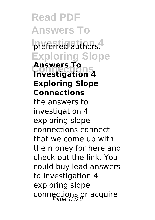**Read PDF Answers To** preferred authors. **Exploring Slope Connections Investigation 4 Answers To Exploring Slope Connections** the answers to investigation 4 exploring slope connections connect that we come up with the money for here and check out the link. You could buy lead answers to investigation 4 exploring slope connections or acquire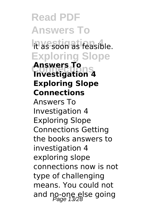**Read PDF Answers To Investigation 4** it as soon as feasible. **Exploring Slope Connections Investigation 4 Answers To Exploring Slope Connections** Answers To Investigation 4 Exploring Slope Connections Getting the books answers to investigation 4 exploring slope connections now is not type of challenging means. You could not and no-one else going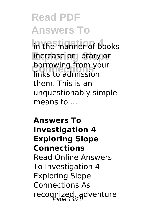#### **Read PDF Answers To Investigation 4** in the manner of books **increase or library or Dorrowing**<br> **links** to admission borrowing from your them. This is an unquestionably simple means to ...

#### **Answers To Investigation 4 Exploring Slope Connections** Read Online Answers To Investigation 4 Exploring Slope Connections As recognized, adventure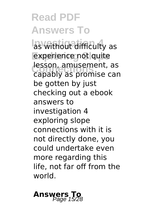### **Read PDF Answers To las without difficulty as** experience not quite **lesson, amusement, as**<br>Canably as promise can capably as promise can be gotten by just

checking out a ebook answers to investigation 4 exploring slope connections with it is not directly done, you could undertake even more regarding this life, not far off from the world.

## **Answers To**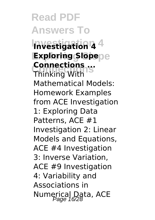**Read PDF Answers To Investigation 4 Investigation 4 Exploring Slope Exploring Slope Connections** Thinking With **Connections ...** Mathematical Models: Homework Examples from ACE Investigation 1: Exploring Data Patterns, ACE #1 Investigation 2: Linear Models and Equations, ACE #4 Investigation 3: Inverse Variation, ACE #9 Investigation 4: Variability and Associations in Numerical Data, ACE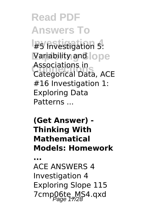**Read PDF Answers To Investigation 4** #5 Investigation 5: Variability and lope **Connections** Categorical Data, ACE Associations in #16 Investigation 1: Exploring Data Patterns ...

**(Get Answer) - Thinking With Mathematical Models: Homework**

**...**

ACE ANSWERS 4 Investigation 4 Exploring Slope 115 7cmp06te\_MS4.qxd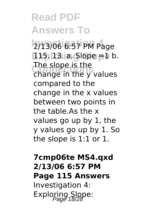**Read PDF Answers To Investigation 4** 2/13/06 6:57 PM Page **Exploring Slope** 115. 13. a. Slope =1 b. The slope is the<br>**change in the y values** The slope is the compared to the change in the x values between two points in the table As the x values go up by 1, the y values go up by 1. So the slope is 1:1 or 1.

#### **7cmp06te MS4.qxd 2/13/06 6:57 PM Page 115 Answers** Investigation 4: Exploring Slope: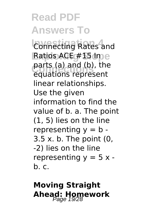**Connecting Rates and** Ratios ACE #15 Ime parts (a) and (b), the equations represent linear relationships. Use the given information to find the value of b. a. The point (1, 5) lies on the line representing  $y = b$  -3.5 x. b. The point (0, -2) lies on the line representing  $y = 5x$ b. c.

### **Moving Straight Ahead: Homework** Page 19/28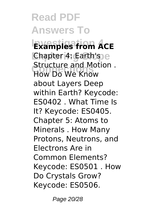**Read PDF Answers To Investigation 4 Examples from ACE Chapter 4: Earth's e Connections** How Do We Know Structure and Motion . about Layers Deep within Earth? Keycode: ES0402 . What Time Is It? Keycode: ES0405. Chapter 5: Atoms to Minerals . How Many Protons, Neutrons, and Electrons Are in Common Elements? Keycode: ES0501 . How Do Crystals Grow? Keycode: ES0506.

Page 20/28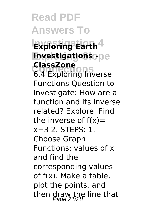**Read PDF Answers To Investigation 4 Exploring Earth Investigations -Classzone**<br>6.4 Exploring Inverse **ClassZone** Functions Question to Investigate: How are a function and its inverse related? Explore: Find the inverse of  $f(x)$ = x−3 2. STEPS: 1. Choose Graph Functions: values of x and find the corresponding values of f(x). Make a table, plot the points, and then draw the line that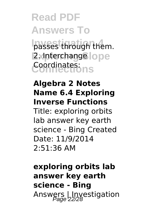**Read PDF Answers To Investigation 4** passes through them. **Z**xinterchangelope **Connections** Coordinates:

#### **Algebra 2 Notes Name 6.4 Exploring Inverse Functions**

Title: exploring orbits lab answer key earth science - Bing Created Date: 11/9/2014 2:51:36 AM

**exploring orbits lab answer key earth science - Bing** Answers | Investigation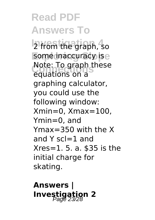**Read PDF Answers To Investigation 4** 2 from the graph, so some inaccuracy ise Note: To graph these equations on a graphing calculator, you could use the following window: Xmin=0, Xmax=100, Ymin=0, and Ymax=350 with the X and Y scl=1 and Xres=1. 5. a. \$35 is the initial charge for skating.

**Answers | Investigation 2**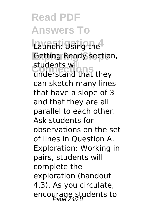Launch: Using the **Getting Ready section,** students will<br>understand that they students will can sketch many lines that have a slope of 3 and that they are all parallel to each other. Ask students for observations on the set of lines in Question A. Exploration: Working in pairs, students will complete the exploration (handout 4.3). As you circulate, encourage students to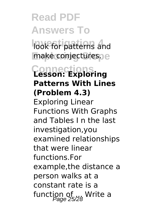**Read PDF Answers To Investigation 4** look for patterns and make conjectures. e **Connections Lesson: Exploring Patterns With Lines (Problem 4.3)** Exploring Linear Functions With Graphs and Tables I n the last investigation,you examined relationships that were linear functions.For example,the distance a person walks at a constant rate is a function of ... Write a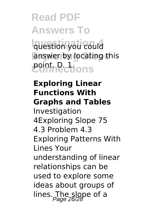### **Read PDF Answers To Investigation 4** question you could answer by locating this

*<u>contrections</u>* 

#### **Exploring Linear Functions With Graphs and Tables**

Investigation 4Exploring Slope 75 4.3 Problem 4.3 Exploring Patterns With Lines Your understanding of linear relationships can be used to explore some ideas about groups of lines. The slope of a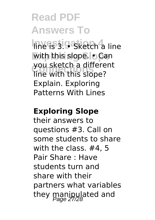Invessigatietch<sup>4</sup> line with this slope. • Can you sketch a different<br>line with this slope? you sketch a different Explain. Exploring Patterns With Lines

#### **Exploring Slope**

their answers to questions #3. Call on some students to share with the class. #4, 5 Pair Share : Have students turn and share with their partners what variables they manipulated and